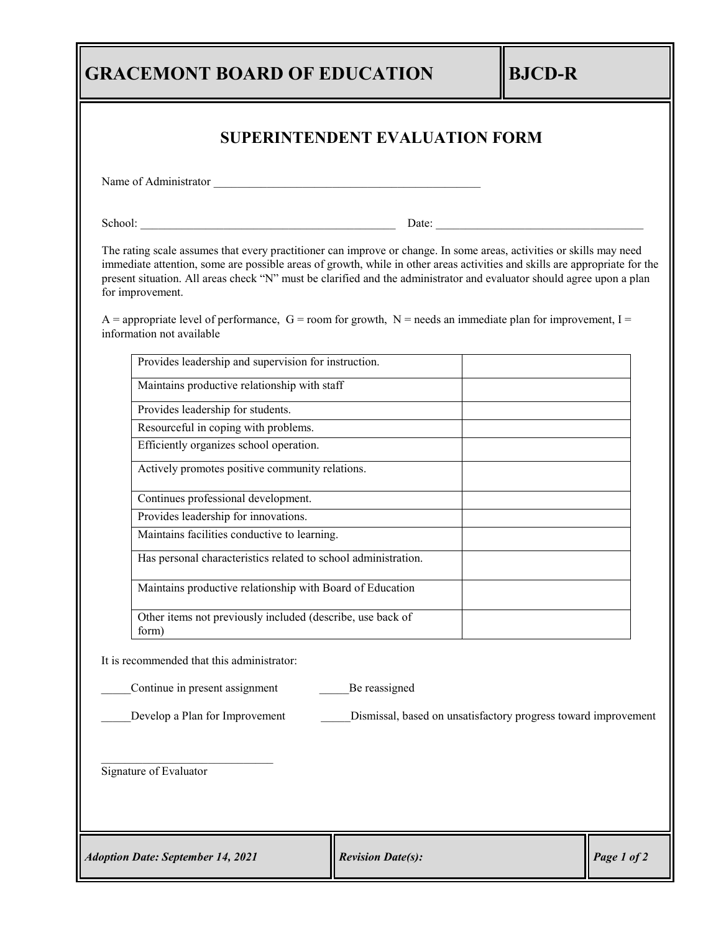## **GRACEMONT BOARD OF EDUCATION BJCD-R**

| <b>SUPERINTENDENT EVALUATION FORM</b>                               |                                                                                                                                                                                                                                                                                                                                                                             |             |  |
|---------------------------------------------------------------------|-----------------------------------------------------------------------------------------------------------------------------------------------------------------------------------------------------------------------------------------------------------------------------------------------------------------------------------------------------------------------------|-------------|--|
| Name of Administrator                                               |                                                                                                                                                                                                                                                                                                                                                                             |             |  |
|                                                                     |                                                                                                                                                                                                                                                                                                                                                                             |             |  |
| for improvement.                                                    | The rating scale assumes that every practitioner can improve or change. In some areas, activities or skills may need<br>immediate attention, some are possible areas of growth, while in other areas activities and skills are appropriate for the<br>present situation. All areas check "N" must be clarified and the administrator and evaluator should agree upon a plan |             |  |
| information not available                                           | A = appropriate level of performance, G = room for growth, N = needs an immediate plan for improvement, I =                                                                                                                                                                                                                                                                 |             |  |
| Provides leadership and supervision for instruction.                |                                                                                                                                                                                                                                                                                                                                                                             |             |  |
| Maintains productive relationship with staff                        |                                                                                                                                                                                                                                                                                                                                                                             |             |  |
| Provides leadership for students.                                   |                                                                                                                                                                                                                                                                                                                                                                             |             |  |
| Resourceful in coping with problems.                                |                                                                                                                                                                                                                                                                                                                                                                             |             |  |
| Efficiently organizes school operation.                             |                                                                                                                                                                                                                                                                                                                                                                             |             |  |
| Actively promotes positive community relations.                     |                                                                                                                                                                                                                                                                                                                                                                             |             |  |
| Continues professional development.                                 |                                                                                                                                                                                                                                                                                                                                                                             |             |  |
| Provides leadership for innovations.                                |                                                                                                                                                                                                                                                                                                                                                                             |             |  |
| Maintains facilities conductive to learning.                        |                                                                                                                                                                                                                                                                                                                                                                             |             |  |
| Has personal characteristics related to school administration.      |                                                                                                                                                                                                                                                                                                                                                                             |             |  |
| Maintains productive relationship with Board of Education           |                                                                                                                                                                                                                                                                                                                                                                             |             |  |
| Other items not previously included (describe, use back of<br>form) |                                                                                                                                                                                                                                                                                                                                                                             |             |  |
| It is recommended that this administrator:                          |                                                                                                                                                                                                                                                                                                                                                                             |             |  |
| Continue in present assignment<br>Be reassigned                     |                                                                                                                                                                                                                                                                                                                                                                             |             |  |
| Develop a Plan for Improvement                                      | Dismissal, based on unsatisfactory progress toward improvement                                                                                                                                                                                                                                                                                                              |             |  |
| Signature of Evaluator                                              |                                                                                                                                                                                                                                                                                                                                                                             |             |  |
| <b>Adoption Date: September 14, 2021</b>                            | <b>Revision Date(s):</b>                                                                                                                                                                                                                                                                                                                                                    | Page 1 of 2 |  |